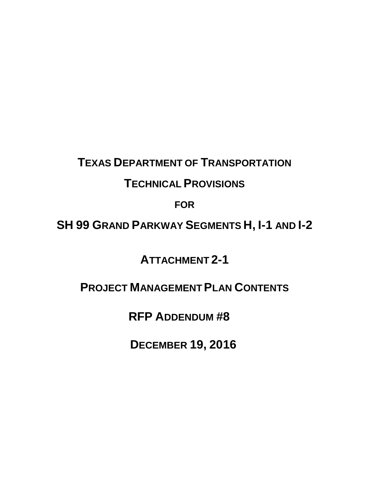# **TEXAS DEPARTMENT OF TRANSPORTATION**

### **TECHNICAL PROVISIONS**

**FOR**

**SH 99 GRAND PARKWAY SEGMENTS H, I-1 AND I-2**

**ATTACHMENT 2-1** 

## **PROJECT MANAGEMENT PLAN CONTENTS**

 **RFP ADDENDUM #8** 

**DECEMBER 19, 2016**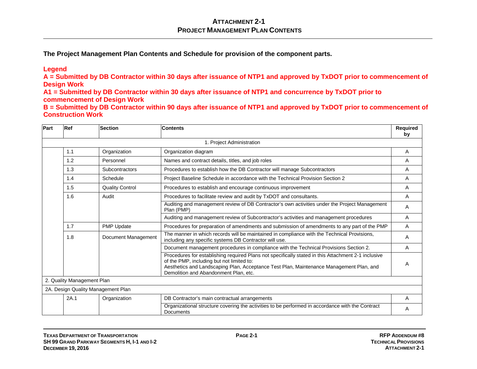**The Project Management Plan Contents and Schedule for provision of the component parts.**

#### **Legend**

**A = Submitted by DB Contractor within 30 days after issuance of NTP1 and approved by TxDOT prior to commencement of Design Work**

**A1 = Submitted by DB Contractor within 30 days after issuance of NTP1 and concurrence by TxDOT prior to commencement of Design Work**

**B = Submitted by DB Contractor within 90 days after issuance of NTP1 and approved by TxDOT prior to commencement of Construction Work**

| Part | Ref                        | Section                            | <b>Contents</b>                                                                                                                                                                                                                                                                      | Required<br>by |
|------|----------------------------|------------------------------------|--------------------------------------------------------------------------------------------------------------------------------------------------------------------------------------------------------------------------------------------------------------------------------------|----------------|
|      |                            |                                    | 1. Project Administration                                                                                                                                                                                                                                                            |                |
|      | 1.1                        | Organization                       | Organization diagram                                                                                                                                                                                                                                                                 | A              |
|      | 1.2                        | Personnel                          | Names and contract details, titles, and job roles                                                                                                                                                                                                                                    | A              |
|      | 1.3                        | Subcontractors                     | Procedures to establish how the DB Contractor will manage Subcontractors                                                                                                                                                                                                             | Α              |
|      | 1.4                        | Schedule                           | Project Baseline Schedule in accordance with the Technical Provision Section 2                                                                                                                                                                                                       | A              |
|      | 1.5                        | <b>Quality Control</b>             | Procedures to establish and encourage continuous improvement                                                                                                                                                                                                                         | A              |
|      | 1.6                        | Audit                              | Procedures to facilitate review and audit by TxDOT and consultants.                                                                                                                                                                                                                  | A              |
|      |                            |                                    | Auditing and management review of DB Contractor's own activities under the Project Management<br>Plan (PMP)                                                                                                                                                                          | A              |
|      |                            |                                    | Auditing and management review of Subcontractor's activities and management procedures                                                                                                                                                                                               | A              |
|      | 1.7                        | PMP Update                         | Procedures for preparation of amendments and submission of amendments to any part of the PMP                                                                                                                                                                                         | A              |
|      | 1.8                        | Document Management                | The manner in which records will be maintained in compliance with the Technical Provisions,<br>including any specific systems DB Contractor will use.                                                                                                                                | A              |
|      |                            |                                    | Document management procedures in compliance with the Technical Provisions Section 2.                                                                                                                                                                                                | A              |
|      |                            |                                    | Procedures for establishing required Plans not specifically stated in this Attachment 2-1 inclusive<br>of the PMP, including but not limited to:<br>Aesthetics and Landscaping Plan, Acceptance Test Plan, Maintenance Management Plan, and<br>Demolition and Abandonment Plan, etc. | A              |
|      | 2. Quality Management Plan |                                    |                                                                                                                                                                                                                                                                                      |                |
|      |                            | 2A. Design Quality Management Plan |                                                                                                                                                                                                                                                                                      |                |
|      | 2A.1                       | Organization                       | DB Contractor's main contractual arrangements                                                                                                                                                                                                                                        | A              |
|      |                            |                                    | Organizational structure covering the activities to be performed in accordance with the Contract<br>Documents                                                                                                                                                                        | A              |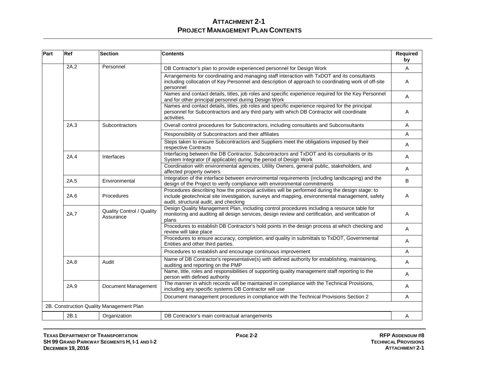| Part | Ref  | <b>Section</b>                           | <b>Contents</b>                                                                                                                                                                                                                             | Required<br>by |
|------|------|------------------------------------------|---------------------------------------------------------------------------------------------------------------------------------------------------------------------------------------------------------------------------------------------|----------------|
|      | 2A.2 | Personnel                                | DB Contractor's plan to provide experienced personnel for Design Work                                                                                                                                                                       | A              |
|      |      |                                          | Arrangements for coordinating and managing staff interaction with TxDOT and its consultants<br>including collocation of Key Personnel and description of approach to coordinating work of off-site<br>personnel                             | Α              |
|      |      |                                          | Names and contact details, titles, job roles and specific experience required for the Key Personnel<br>and for other principal personnel during Design Work                                                                                 | Α              |
|      |      |                                          | Names and contact details, titles, job roles and specific experience required for the principal<br>personnel for Subcontractors and any third party with which DB Contractor will coordinate<br>activities.                                 | Α              |
|      | 2A.3 | Subcontractors                           | Overall control procedures for Subcontractors, including consultants and Subconsultants                                                                                                                                                     | A              |
|      |      |                                          | Responsibility of Subcontractors and their affiliates                                                                                                                                                                                       | A              |
|      |      |                                          | Steps taken to ensure Subcontractors and Suppliers meet the obligations imposed by their<br>respective Contracts                                                                                                                            | A              |
|      | 2A.4 | Interfaces                               | Interfacing between the DB Contractor, Subcontractors and TxDOT and its consultants or its<br>System Integrator (if applicable) during the period of Design Work                                                                            | A              |
|      |      |                                          | Coordination with environmental agencies, Utility Owners, general public, stakeholders, and<br>affected property owners                                                                                                                     | A              |
|      | 2A.5 | Environmental                            | Integration of the interface between environmental requirements (including landscaping) and the<br>design of the Project to verify compliance with environmental commitments                                                                | B              |
|      | 2A.6 | Procedures                               | Procedures describing how the principal activities will be performed during the design stage: to<br>include geotechnical site investigation, surveys and mapping, environmental management, safety<br>audit, structural audit, and checking | Α              |
|      | 2A.7 | Quality Control / Quality<br>Assurance   | Design Quality Management Plan, including control procedures including a resource table for<br>monitoring and auditing all design services, design review and certification, and verification of<br>plans                                   | Α              |
|      |      |                                          | Procedures to establish DB Contractor's hold points in the design process at which checking and<br>review will take place                                                                                                                   | A              |
|      |      |                                          | Procedures to ensure accuracy, completion, and quality in submittals to TxDOT, Governmental<br>Entities and other third parties.                                                                                                            | A              |
|      |      |                                          | Procedures to establish and encourage continuous improvement                                                                                                                                                                                | A              |
|      | 2A.8 | Audit                                    | Name of DB Contractor's representative(s) with defined authority for establishing, maintaining,<br>auditing and reporting on the PMP                                                                                                        | Α              |
|      |      |                                          | Name, title, roles and responsibilities of supporting quality management staff reporting to the<br>person with defined authority                                                                                                            | Α              |
|      | 2A.9 | Document Management                      | The manner in which records will be maintained in compliance with the Technical Provisions,<br>including any specific systems DB Contractor will use                                                                                        | A              |
|      |      |                                          | Document management procedures in compliance with the Technical Provisions Section 2                                                                                                                                                        | A              |
|      |      | 2B. Construction Quality Management Plan |                                                                                                                                                                                                                                             |                |
|      | 2B.1 | Organization                             | DB Contractor's main contractual arrangements                                                                                                                                                                                               | Α              |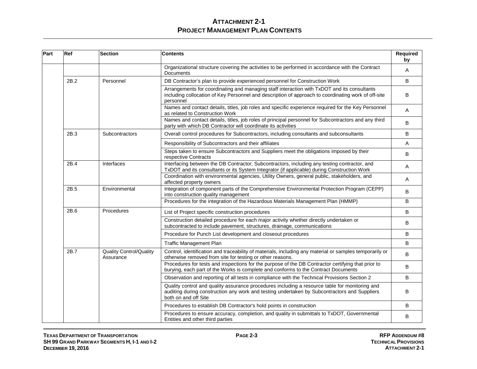| Part | Ref  | Section                                     | <b>Contents</b>                                                                                                                                                                                                        | Required<br>by |
|------|------|---------------------------------------------|------------------------------------------------------------------------------------------------------------------------------------------------------------------------------------------------------------------------|----------------|
|      |      |                                             | Organizational structure covering the activities to be performed in accordance with the Contract<br>Documents                                                                                                          | A              |
|      | 2B.2 | Personnel                                   | DB Contractor's plan to provide experienced personnel for Construction Work                                                                                                                                            | B              |
|      |      |                                             | Arrangements for coordinating and managing staff interaction with TxDOT and its consultants<br>including collocation of Key Personnel and description of approach to coordinating work of off-site<br>personnel        | B              |
|      |      |                                             | Names and contact details, titles, job roles and specific experience required for the Key Personnel<br>as related to Construction Work                                                                                 | A              |
|      |      |                                             | Names and contact details, titles, job roles of principal personnel for Subcontractors and any third<br>party with which DB Contractor will coordinate its activities                                                  | B              |
|      | 2B.3 | Subcontractors                              | Overall control procedures for Subcontractors, including consultants and subconsultants                                                                                                                                | B              |
|      |      |                                             | Responsibility of Subcontractors and their affiliates                                                                                                                                                                  | A              |
|      |      |                                             | Steps taken to ensure Subcontractors and Suppliers meet the obligations imposed by their<br>respective Contracts                                                                                                       | B              |
|      | 2B.4 | Interfaces                                  | Interfacing between the DB Contractor, Subcontractors, including any testing contractor, and<br>TxDOT and its consultants or its System Integrator (if applicable) during Construction Work                            | Α              |
|      |      |                                             | Coordination with environmental agencies, Utility Owners, general public, stakeholders, and<br>affected property owners                                                                                                | Α              |
|      | 2B.5 | Environmental                               | Integration of component parts of the Comprehensive Environmental Protection Program (CEPP)<br>into construction quality management                                                                                    | B              |
|      |      |                                             | Procedures for the integration of the Hazardous Materials Management Plan (HMMP)                                                                                                                                       | B              |
|      | 2B.6 | Procedures                                  | List of Project specific construction procedures                                                                                                                                                                       | B              |
|      |      |                                             | Construction detailed procedure for each major activity whether directly undertaken or<br>subcontracted to include pavement, structures, drainage, communications                                                      | B              |
|      |      |                                             | Procedure for Punch List development and closeout procedures                                                                                                                                                           | В              |
|      |      |                                             | <b>Traffic Management Plan</b>                                                                                                                                                                                         | B              |
|      | 2B.7 | <b>Quality Control/Quality</b><br>Assurance | Control, identification and traceability of materials, including any material or samples temporarily or<br>otherwise removed from site for testing or other reasons.                                                   | B              |
|      |      |                                             | Procedures for tests and inspections for the purpose of the DB Contractor certifying that prior to<br>burying, each part of the Works is complete and conforms to the Contract Documents                               | B              |
|      |      |                                             | Observation and reporting of all tests in compliance with the Technical Provisions Section 2                                                                                                                           | B              |
|      |      |                                             | Quality control and quality assurance procedures including a resource table for monitoring and<br>auditing during construction any work and testing undertaken by Subcontractors and Suppliers<br>both on and off Site | B              |
|      |      |                                             | Procedures to establish DB Contractor's hold points in construction                                                                                                                                                    | B              |
|      |      |                                             | Procedures to ensure accuracy, completion, and quality in submittals to TxDOT, Governmental<br>Entities and other third parties                                                                                        | В              |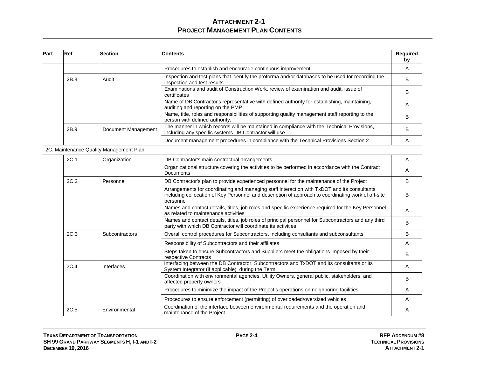| Part | Ref  | <b>Section</b>                          | <b>Contents</b>                                                                                                                                                                                                 | Required<br>by |
|------|------|-----------------------------------------|-----------------------------------------------------------------------------------------------------------------------------------------------------------------------------------------------------------------|----------------|
|      |      |                                         | Procedures to establish and encourage continuous improvement                                                                                                                                                    | Α              |
|      | 2B.8 | Audit                                   | Inspection and test plans that identify the proforma and/or databases to be used for recording the<br>inspection and test results                                                                               | B              |
|      |      |                                         | Examinations and audit of Construction Work, review of examination and audit, issue of<br>certificates                                                                                                          | B              |
|      |      |                                         | Name of DB Contractor's representative with defined authority for establishing, maintaining,<br>auditing and reporting on the PMP                                                                               | A              |
|      |      |                                         | Name, title, roles and responsibilities of supporting quality management staff reporting to the<br>person with defined authority.                                                                               | B              |
|      | 2B.9 | Document Management                     | The manner in which records will be maintained in compliance with the Technical Provisions,<br>including any specific systems DB Contractor will use                                                            | B              |
|      |      |                                         | Document management procedures in compliance with the Technical Provisions Section 2                                                                                                                            | A              |
|      |      | 2C. Maintenance Quality Management Plan |                                                                                                                                                                                                                 |                |
|      | 2C.1 | Organization                            | DB Contractor's main contractual arrangements                                                                                                                                                                   | Α              |
|      |      |                                         | Organizational structure covering the activities to be performed in accordance with the Contract<br>Documents                                                                                                   | A              |
|      | 2C.2 | Personnel                               | DB Contractor's plan to provide experienced personnel for the maintenance of the Project                                                                                                                        | B              |
|      |      |                                         | Arrangements for coordinating and managing staff interaction with TxDOT and its consultants<br>including collocation of Key Personnel and description of approach to coordinating work of off-site<br>personnel | B              |
|      |      |                                         | Names and contact details, titles, job roles and specific experience required for the Key Personnel<br>as related to maintenance activities                                                                     | Α              |
|      |      |                                         | Names and contact details, titles, job roles of principal personnel for Subcontractors and any third<br>party with which DB Contractor will coordinate its activities                                           | B              |
|      | 2C.3 | Subcontractors                          | Overall control procedures for Subcontractors, including consultants and subconsultants                                                                                                                         | B              |
|      |      |                                         | Responsibility of Subcontractors and their affiliates                                                                                                                                                           | A              |
|      |      |                                         | Steps taken to ensure Subcontractors and Suppliers meet the obligations imposed by their<br>respective Contracts                                                                                                | B              |
|      | 2C.4 | Interfaces                              | Interfacing between the DB Contractor, Subcontractors and TxDOT and its consultants or its<br>System Integrator (if applicable) during the Term                                                                 | A              |
|      |      |                                         | Coordination with environmental agencies, Utility Owners, general public, stakeholders, and<br>affected property owners                                                                                         | B              |
|      |      |                                         | Procedures to minimize the impact of the Project's operations on neighboring facilities                                                                                                                         | Α              |
|      |      |                                         | Procedures to ensure enforcement (permitting) of overloaded/oversized vehicles                                                                                                                                  | A              |
|      | 2C.5 | Environmental                           | Coordination of the interface between environmental requirements and the operation and<br>maintenance of the Project                                                                                            | Α              |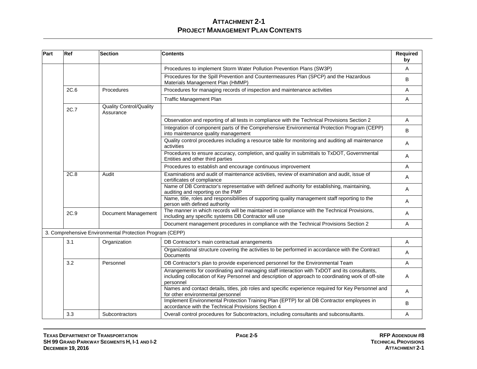| Part | <b>Ref</b> | <b>Section</b>                                           | <b>Contents</b>                                                                                                                                                                                                  | Required<br>by |
|------|------------|----------------------------------------------------------|------------------------------------------------------------------------------------------------------------------------------------------------------------------------------------------------------------------|----------------|
|      |            |                                                          | Procedures to implement Storm Water Pollution Prevention Plans (SW3P)                                                                                                                                            | Α              |
|      |            |                                                          | Procedures for the Spill Prevention and Countermeasures Plan (SPCP) and the Hazardous<br>Materials Management Plan (HMMP)                                                                                        | B              |
|      | 2C.6       | Procedures                                               | Procedures for managing records of inspection and maintenance activities                                                                                                                                         | Α              |
|      |            |                                                          | <b>Traffic Management Plan</b>                                                                                                                                                                                   | Α              |
|      | 2C.7       | <b>Quality Control/Quality</b><br>Assurance              |                                                                                                                                                                                                                  |                |
|      |            |                                                          | Observation and reporting of all tests in compliance with the Technical Provisions Section 2                                                                                                                     | A              |
|      |            |                                                          | Integration of component parts of the Comprehensive Environmental Protection Program (CEPP)<br>into maintenance quality management                                                                               | B              |
|      |            |                                                          | Quality control procedures including a resource table for monitoring and auditing all maintenance<br>activities                                                                                                  | Α              |
|      |            |                                                          | Procedures to ensure accuracy, completion, and quality in submittals to TxDOT, Governmental<br>Entities and other third parties                                                                                  | Α              |
|      |            |                                                          | Procedures to establish and encourage continuous improvement                                                                                                                                                     | A              |
|      | 2C.8       | Audit                                                    | Examinations and audit of maintenance activities, review of examination and audit, issue of<br>certificates of compliance                                                                                        | Α              |
|      |            |                                                          | Name of DB Contractor's representative with defined authority for establishing, maintaining,<br>auditing and reporting on the PMP                                                                                | Α              |
|      |            |                                                          | Name, title, roles and responsibilities of supporting quality management staff reporting to the<br>person with defined authority                                                                                 | Α              |
|      | 2C.9       | Document Management                                      | The manner in which records will be maintained in compliance with the Technical Provisions,<br>including any specific systems DB Contractor will use                                                             | A              |
|      |            |                                                          | Document management procedures in compliance with the Technical Provisions Section 2                                                                                                                             | Α              |
|      |            | 3. Comprehensive Environmental Protection Program (CEPP) |                                                                                                                                                                                                                  |                |
|      | 3.1        | Organization                                             | DB Contractor's main contractual arrangements                                                                                                                                                                    | Α              |
|      |            |                                                          | Organizational structure covering the activities to be performed in accordance with the Contract<br><b>Documents</b>                                                                                             | Α              |
|      | 3.2        | Personnel                                                | DB Contractor's plan to provide experienced personnel for the Environmental Team                                                                                                                                 | Α              |
|      |            |                                                          | Arrangements for coordinating and managing staff interaction with TxDOT and its consultants,<br>including collocation of Key Personnel and description of approach to coordinating work of off-site<br>personnel | Α              |
|      |            |                                                          | Names and contact details, titles, job roles and specific experience required for Key Personnel and<br>for other environmental personnel                                                                         | Α              |
|      |            |                                                          | Implement Environmental Protection Training Plan (EPTP) for all DB Contractor employees in<br>accordance with the Technical Provisions Section 4                                                                 | B              |
|      | 3.3        | Subcontractors                                           | Overall control procedures for Subcontractors, including consultants and subconsultants.                                                                                                                         | Α              |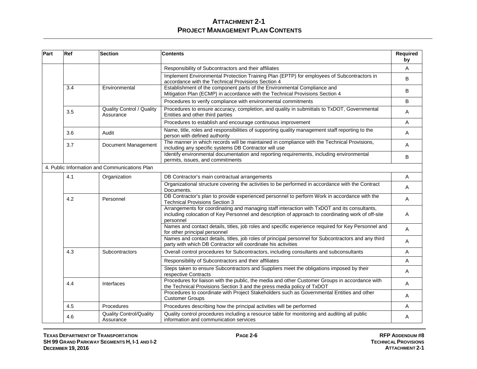| Part | Ref                                           | <b>Section</b>                                | <b>Contents</b>                                                                                                                                                                                                 | Required<br>by |  |
|------|-----------------------------------------------|-----------------------------------------------|-----------------------------------------------------------------------------------------------------------------------------------------------------------------------------------------------------------------|----------------|--|
|      |                                               |                                               | Responsibility of Subcontractors and their affiliates                                                                                                                                                           | A              |  |
|      |                                               |                                               | Implement Environmental Protection Training Plan (EPTP) for employees of Subcontractors in<br>accordance with the Technical Provisions Section 4                                                                | B              |  |
|      | 3.4                                           | Environmental                                 | Establishment of the component parts of the Environmental Compliance and<br>Mitigation Plan (ECMP) in accordance with the Technical Provisions Section 4                                                        | B              |  |
|      |                                               |                                               | Procedures to verify compliance with environmental commitments                                                                                                                                                  | B              |  |
|      | 3.5                                           | <b>Quality Control / Quality</b><br>Assurance | Procedures to ensure accuracy, completion, and quality in submittals to TxDOT, Governmental<br>Entities and other third parties                                                                                 | Α              |  |
|      |                                               |                                               | Procedures to establish and encourage continuous improvement                                                                                                                                                    | Α              |  |
|      | 3.6                                           | Audit                                         | Name, title, roles and responsibilities of supporting quality management staff reporting to the<br>person with defined authority                                                                                | Α              |  |
|      | 3.7                                           | Document Management                           | The manner in which records will be maintained in compliance with the Technical Provisions,<br>including any specific systems DB Contractor will use                                                            | Α              |  |
|      |                                               |                                               | Identify environmental documentation and reporting requirements, including environmental<br>permits, issues, and commitments                                                                                    | B              |  |
|      | 4. Public Information and Communications Plan |                                               |                                                                                                                                                                                                                 |                |  |
|      | 4.1                                           | Organization                                  | DB Contractor's main contractual arrangements                                                                                                                                                                   | A              |  |
|      |                                               |                                               | Organizational structure covering the activities to be performed in accordance with the Contract<br>Documents.                                                                                                  | A              |  |
|      | 4.2                                           | Personnel                                     | DB Contractor's plan to provide experienced personnel to perform Work in accordance with the<br><b>Technical Provisions Section 3</b>                                                                           | A              |  |
|      |                                               |                                               | Arrangements for coordinating and managing staff interaction with TxDOT and its consultants,<br>including colocation of Key Personnel and description of approach to coordinating work of off-site<br>personnel | Α              |  |
|      |                                               |                                               | Names and contact details, titles, job roles and specific experience required for Key Personnel and<br>for other principal personnel                                                                            | Α              |  |
|      |                                               |                                               | Names and contact details, titles, job roles of principal personnel for Subcontractors and any third<br>party with which DB Contractor will coordinate his activities                                           | Α              |  |
|      | 4.3                                           | Subcontractors                                | Overall control procedures for Subcontractors, including consultants and subconsultants                                                                                                                         | Α              |  |
|      |                                               |                                               | Responsibility of Subcontractors and their affiliates                                                                                                                                                           | A              |  |
|      |                                               |                                               | Steps taken to ensure Subcontractors and Suppliers meet the obligations imposed by their<br>respective Contracts                                                                                                | Α              |  |
|      | 4.4                                           | Interfaces                                    | Procedures for liaison with the public, the media and other Customer Groups in accordance with<br>the Technical Provisions Section 3 and the press media policy of TxDOT                                        | A              |  |
|      |                                               |                                               | Procedures to coordinate with Project Stakeholders such as Governmental Entities and other<br><b>Customer Groups</b>                                                                                            | Α              |  |
|      | 4.5                                           | Procedures                                    | Procedures describing how the principal activities will be performed                                                                                                                                            | A              |  |
|      | 4.6                                           | <b>Quality Control/Quality</b><br>Assurance   | Quality control procedures including a resource table for monitoring and auditing all public<br>information and communication services                                                                          | Α              |  |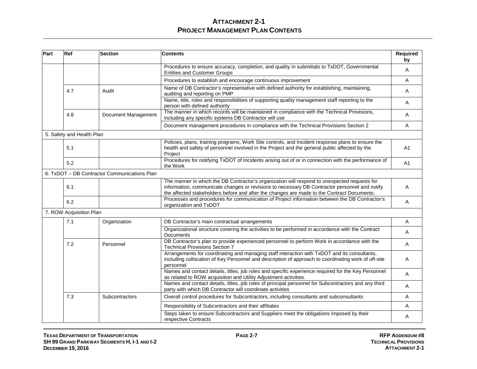| Part | Ref                       | <b>Section</b>                               | <b>Contents</b>                                                                                                                                                                                                                                                                             | Required<br>by |
|------|---------------------------|----------------------------------------------|---------------------------------------------------------------------------------------------------------------------------------------------------------------------------------------------------------------------------------------------------------------------------------------------|----------------|
|      |                           |                                              | Procedures to ensure accuracy, completion, and quality in submittals to TxDOT, Governmental<br><b>Entities and Customer Groups</b>                                                                                                                                                          | Α              |
|      |                           |                                              | Procedures to establish and encourage continuous improvement                                                                                                                                                                                                                                | A              |
|      | 4.7                       | Audit                                        | Name of DB Contractor's representative with defined authority for establishing, maintaining,<br>auditing and reporting on PMP                                                                                                                                                               | A              |
|      |                           |                                              | Name, title, roles and responsibilities of supporting quality management staff reporting to the<br>person with defined authority                                                                                                                                                            | A              |
|      | 4.8                       | Document Management                          | The manner in which records will be maintained in compliance with the Technical Provisions,<br>including any specific systems DB Contractor will use                                                                                                                                        | A              |
|      |                           |                                              | Document management procedures in compliance with the Technical Provisions Section 2                                                                                                                                                                                                        | A              |
|      | 5. Safety and Health Plan |                                              |                                                                                                                                                                                                                                                                                             |                |
|      | 5.1                       |                                              | Policies, plans, training programs, Work Site controls, and Incident response plans to ensure the<br>health and safety of personnel involved in the Project and the general public affected by the<br>Project                                                                               | A1             |
|      | 5.2                       |                                              | Procedures for notifying TxDOT of Incidents arising out of or in connection with the performance of<br>the Work                                                                                                                                                                             | A <sub>1</sub> |
|      |                           | 6. TxDOT - DB Contractor Communications Plan |                                                                                                                                                                                                                                                                                             |                |
|      | 6.1                       |                                              | The manner in which the DB Contractor's organization will respond to unexpected requests for<br>information, communicate changes or revisions to necessary DB Contractor personnel and notify<br>the affected stakeholders before and after the changes are made to the Contract Documents. | A              |
|      | 6.2                       |                                              | Processes and procedures for communication of Project information between the DB Contractor's<br>organization and TxDOT                                                                                                                                                                     | A              |
|      | 7. ROW Acquisition Plan   |                                              |                                                                                                                                                                                                                                                                                             |                |
|      | 7.1                       | Organization                                 | DB Contractor's main contractual arrangements                                                                                                                                                                                                                                               | A              |
|      |                           |                                              | Organizational structure covering the activities to be performed in accordance with the Contract<br><b>Documents</b>                                                                                                                                                                        | A              |
|      | 7.2                       | Personnel                                    | DB Contractor's plan to provide experienced personnel to perform Work in accordance with the<br><b>Technical Provisions Section 7</b>                                                                                                                                                       | A              |
|      |                           |                                              | Arrangements for coordinating and managing staff interaction with TxDOT and its consultants,<br>including collocation of Key Personnel and description of approach to coordinating work of off-site<br>personnel                                                                            | A              |
|      |                           |                                              | Names and contact details, titles, job roles and specific experience required for the Key Personnel<br>as related to ROW acquisition and Utility Adjustment activities.                                                                                                                     | Α              |
|      |                           |                                              | Names and contact details, titles, job roles of principal personnel for Subcontractors and any third<br>party with which DB Contractor will coordinate activities                                                                                                                           | Α              |
|      | 7.3                       | Subcontractors                               | Overall control procedures for Subcontractors, including consultants and subconsultants                                                                                                                                                                                                     | A              |
|      |                           |                                              | Responsibility of Subcontractors and their affiliates                                                                                                                                                                                                                                       | A              |
|      |                           |                                              | Steps taken to ensure Subcontractors and Suppliers meet the obligations imposed by their<br>respective Contracts                                                                                                                                                                            | Α              |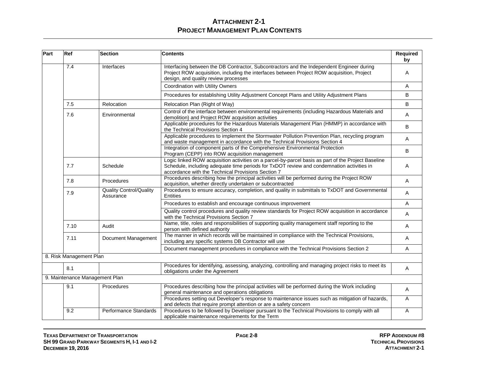| Part | Ref                     | Section                                     | <b>Contents</b>                                                                                                                                                                                                                                        | Required<br>by |
|------|-------------------------|---------------------------------------------|--------------------------------------------------------------------------------------------------------------------------------------------------------------------------------------------------------------------------------------------------------|----------------|
|      | 7.4                     | Interfaces                                  | Interfacing between the DB Contractor, Subcontractors and the Independent Engineer during<br>Project ROW acquisition, including the interfaces between Project ROW acquisition, Project<br>design, and quality review processes                        | Α              |
|      |                         |                                             | <b>Coordination with Utility Owners</b>                                                                                                                                                                                                                | Α              |
|      |                         |                                             | Procedures for establishing Utility Adjustment Concept Plans and Utility Adjustment Plans                                                                                                                                                              | B              |
|      | 7.5                     | Relocation                                  | Relocation Plan (Right of Way)                                                                                                                                                                                                                         | B              |
|      | 7.6                     | Environmental                               | Control of the interface between environmental requirements (including Hazardous Materials and<br>demolition) and Project ROW acquisition activities                                                                                                   | Α              |
|      |                         |                                             | Applicable procedures for the Hazardous Materials Management Plan (HMMP) in accordance with<br>the Technical Provisions Section 4                                                                                                                      | B              |
|      |                         |                                             | Applicable procedures to implement the Stormwater Pollution Prevention Plan, recycling program<br>and waste management in accordance with the Technical Provisions Section 4                                                                           | Α              |
|      |                         |                                             | Integration of component parts of the Comprehensive Environmental Protection<br>Program (CEPP) into ROW acquisition management                                                                                                                         | B              |
|      | 7.7                     | Schedule                                    | Logic linked ROW acquisition activities on a parcel-by-parcel basis as part of the Project Baseline<br>Schedule, including adequate time periods for TxDOT review and condemnation activities in<br>accordance with the Technical Provisions Section 7 | Α              |
|      | 7.8                     | Procedures                                  | Procedures describing how the principal activities will be performed during the Project ROW<br>acquisition, whether directly undertaken or subcontracted                                                                                               | Α              |
|      | 7.9                     | <b>Quality Control/Quality</b><br>Assurance | Procedures to ensure accuracy, completion, and quality in submittals to TxDOT and Governmental<br>Entities                                                                                                                                             | A              |
|      |                         |                                             | Procedures to establish and encourage continuous improvement                                                                                                                                                                                           | A              |
|      |                         |                                             | Quality control procedures and quality review standards for Project ROW acquisition in accordance<br>with the Technical Provisions Section 7                                                                                                           | A              |
|      | 7.10                    | Audit                                       | Name, title, roles and responsibilities of supporting quality management staff reporting to the<br>person with defined authority                                                                                                                       | A              |
|      | 7.11                    | Document Management                         | The manner in which records will be maintained in compliance with the Technical Provisions,<br>including any specific systems DB Contractor will use                                                                                                   | Α              |
|      |                         |                                             | Document management procedures in compliance with the Technical Provisions Section 2                                                                                                                                                                   | Α              |
|      | 8. Risk Management Plan |                                             |                                                                                                                                                                                                                                                        |                |
|      | 8.1                     |                                             | Procedures for identifying, assessing, analyzing, controlling and managing project risks to meet its<br>obligations under the Agreement                                                                                                                | Α              |
|      |                         | 9. Maintenance Management Plan              |                                                                                                                                                                                                                                                        |                |
|      | 9.1                     | Procedures                                  | Procedures describing how the principal activities will be performed during the Work including<br>general maintenance and operations obligations                                                                                                       | Α              |
|      |                         |                                             | Procedures setting out Developer's response to maintenance issues such as mitigation of hazards,<br>and defects that require prompt attention or are a safety concern                                                                                  | A              |
|      | 9.2                     | <b>Performance Standards</b>                | Procedures to be followed by Developer pursuant to the Technical Provisions to comply with all<br>applicable maintenance requirements for the Term                                                                                                     | Α              |